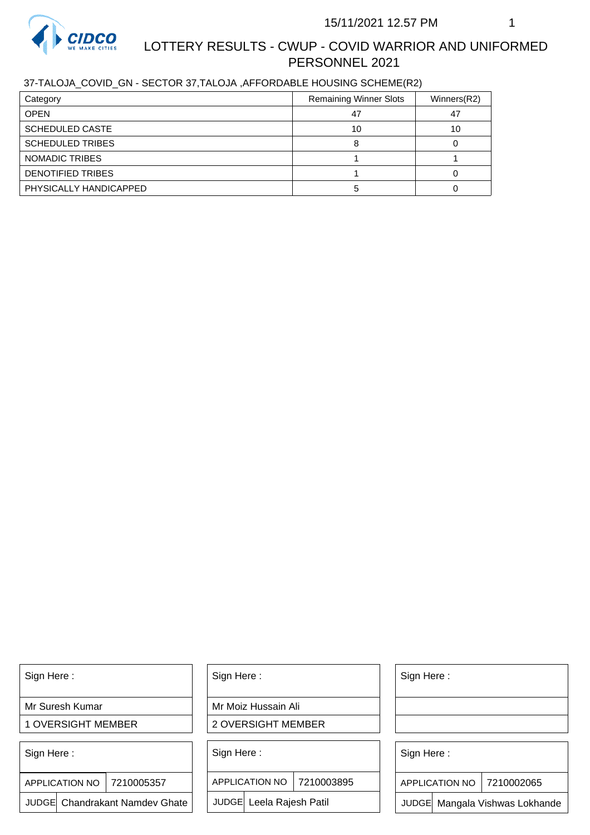

## 37-TALOJA\_COVID\_GN - SECTOR 37,TALOJA ,AFFORDABLE HOUSING SCHEME(R2)

| Category                | <b>Remaining Winner Slots</b> | Winners(R2) |
|-------------------------|-------------------------------|-------------|
| <b>OPEN</b>             | 47                            | 47          |
| <b>SCHEDULED CASTE</b>  | 10                            | 10          |
| <b>SCHEDULED TRIBES</b> |                               |             |
| NOMADIC TRIBES          |                               |             |
| DENOTIFIED TRIBES       |                               |             |
| PHYSICALLY HANDICAPPED  |                               |             |

Sign Here :

Mr Suresh Kumar

1 OVERSIGHT MEMBER

Sign Here :

APPLICATION NO | 7210005357

JUDGE Chandrakant Namdev Ghate

Sign Here :

Mr Moiz Hussain Ali

2 OVERSIGHT MEMBER

Sign Here :

APPLICATION NO 7210003895

JUDGE Leela Rajesh Patil

Sign Here :

Sign Here :

APPLICATION NO | 7210002065

Chandrakant Namdev Ghate  $|\quad|$  JUDGE Leela Rajesh Patil  $|\quad|$  JUDGE Mangala Vishwas Lokhande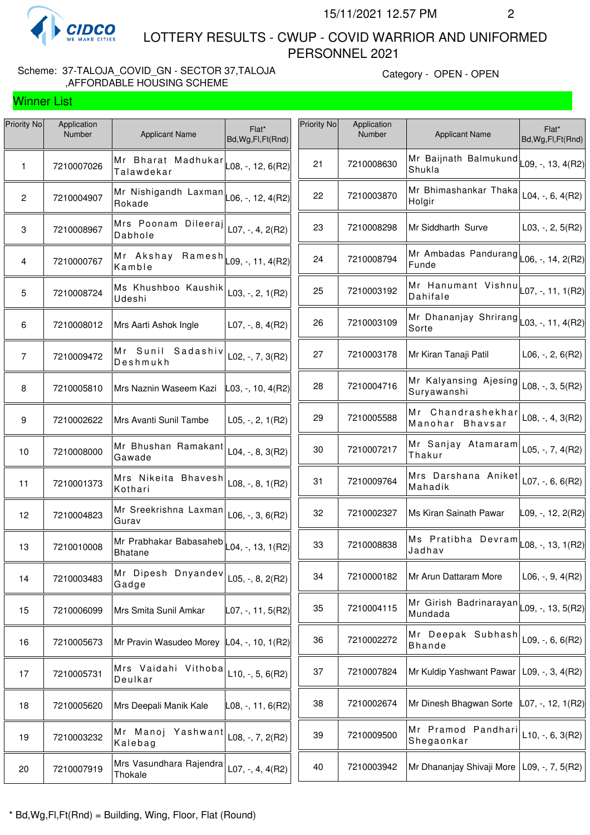

Winner List

 LOTTERY RESULTS - CWUP - COVID WARRIOR AND UNIFORMED PERSONNEL 2021

#### Scheme: 37-TALOJA\_COVID\_GN - SECTOR 37,TALOJA ,AFFORDABLE HOUSING SCHEME

Category - OPEN - OPEN

| <b>Priority No</b> | Application<br><b>Number</b> | <b>Applicant Name</b>                                    | Flat*<br>Bd, Wg, Fl, Ft (Rnd) | Priority No | Application<br>Number | <b>Applicant Name</b>                                                        | Flat*<br>Bd, Wg, Fl, Ft (Rnd) |
|--------------------|------------------------------|----------------------------------------------------------|-------------------------------|-------------|-----------------------|------------------------------------------------------------------------------|-------------------------------|
| $\mathbf{1}$       | 7210007026                   | Mr Bharat Madhukar<br>Talawdekar                         | L08, -, 12, 6(R2)             | 21          | 7210008630            | Mr Baijnath Balmukund $\vert$ L09, -, 13, 4(R2)<br>Shukla                    |                               |
| $\overline{2}$     | 7210004907                   | Mr Nishigandh Laxman $\vert$ L06, -, 12, 4(R2)<br>Rokade |                               | 22          | 7210003870            | Mr Bhimashankar Thaka<br>Holgir                                              | L04, $-$ , 6, 4(R2)           |
| 3                  | 7210008967                   | Mrs Poonam Dileeraj<br>Dabhole                           | L07, $-$ , 4, 2(R2)           | 23          | 7210008298            | Mr Siddharth Surve                                                           | L03, $-$ , 2, 5(R2)           |
| 4                  | 7210000767                   | Mr Akshay Ramesh $\vert$ L09, -, 11, 4(R2)<br>Kamble     |                               | 24          | 7210008794            | Mr Ambadas Pandurang $\lfloor 06, \frac{1}{1}, 14, 2(R2) \rfloor$<br>Funde   |                               |
| 5                  | 7210008724                   | Ms Khushboo Kaushik<br>Udeshi                            | L03, $-$ , 2, 1(R2)           | 25          | 7210003192            | Mr Hanumant Vishnu $\vert$ L07, -, 11, 1(R2)<br>Dahifale                     |                               |
| 6                  | 7210008012                   | Mrs Aarti Ashok Ingle                                    | $L07, -, 8, 4(R2)$            | 26          | 7210003109            | Mr Dhananjay Shrirang $\left  \right _{03, \frac{1}{2}, 11, 4(R2)}$<br>Sorte |                               |
| $\overline{7}$     | 7210009472                   | Mr Sunil Sadashiv<br>Deshmukh                            | $L02, -7, 3(R2)$              | 27          | 7210003178            | Mr Kiran Tanaji Patil                                                        | $L06, -, 2, 6(R2)$            |
| 8                  | 7210005810                   | Mrs Naznin Waseem Kazi                                   | L03, -, 10, 4(R2)             | 28          | 7210004716            | Mr Kalyansing Ajesing<br>Suryawanshi                                         | L08, $-$ , 3, 5(R2)           |
| 9                  | 7210002622                   | Mrs Avanti Sunil Tambe                                   | $L05, -2, 1(R2)$              | 29          | 7210005588            | Mr Chandrashekhar<br>Manohar Bhavsar                                         | L08, $-$ , 4, 3(R2)           |
| 10                 | 7210008000                   | Mr Bhushan Ramakant<br>Gawade                            | $L04, -, 8, 3(R2)$            | 30          | 7210007217            | Mr Sanjay Atamaram<br>Thakur                                                 | L05, -, 7, $4(R2)$            |
| 11                 | 7210001373                   | Mrs Nikeita Bhavesh<br>Kothari                           | L08, $-$ , 8, 1(R2)           | 31          | 7210009764            | Mrs Darshana Aniket<br>Mahadik                                               | L07, -, 6, 6(R2)              |
| 12                 | 7210004823                   | Mr Sreekrishna Laxman<br>Gurav                           | $L06, -3, 6(R2)$              | 32          | 7210002327            | Ms Kiran Sainath Pawar                                                       | $L09, -12, 2(R2)$             |
| 13                 | 7210010008                   | Mr Prabhakar Babasaheb<br><b>Bhatane</b>                 | L04, -, 13, 1(R2)             | 33          | 7210008838            | Ms Pratibha Devram $\vert$ $_{L08,}$ -, 13, 1(R2)<br>Jadhav                  |                               |
| 14                 | 7210003483                   | Mr Dipesh Dnyandev<br>Gadge                              | $L05, -, 8, 2(R2)$            | 34          | 7210000182            | Mr Arun Dattaram More                                                        | $L06, -, 9, 4(R2)$            |
| 15                 | 7210006099                   | Mrs Smita Sunil Amkar                                    | L07, -, 11, 5(R2)             | 35          | 7210004115            | Mr Girish Badrinarayan $\vert$ L09, -, 13, 5(R2)<br>Mundada                  |                               |
| 16                 | 7210005673                   | Mr Pravin Wasudeo Morey                                  | $ L04, -, 10, 1(R2) $         | 36          | 7210002272            | Mr Deepak Subhash<br><b>Bhande</b>                                           | L09, -, 6, 6(R2)              |
| 17                 | 7210005731                   | Mrs Vaidahi Vithoba<br>Deulkar                           | $L10, -, 5, 6(R2)$            | 37          | 7210007824            | Mr Kuldip Yashwant Pawar                                                     | $L09, -3, 4(R2)$              |
| 18                 | 7210005620                   | Mrs Deepali Manik Kale                                   | L08, -, 11, 6(R2)             | 38          | 7210002674            | Mr Dinesh Bhagwan Sorte                                                      | $L07, -, 12, 1(R2)$           |
| 19                 | 7210003232                   | Mr Manoj Yashwant<br>Kalebag                             | $L08, -7, 2(R2)$              | 39          | 7210009500            | Mr Pramod Pandhari<br>Shegaonkar                                             | $L10, -, 6, 3(R2)$            |
| 20                 | 7210007919                   | Mrs Vasundhara Rajendra<br>Thokale                       | L07, $-$ , 4, 4(R2)           | 40          | 7210003942            | Mr Dhananjay Shivaji More   L09, -, 7, 5(R2)                                 |                               |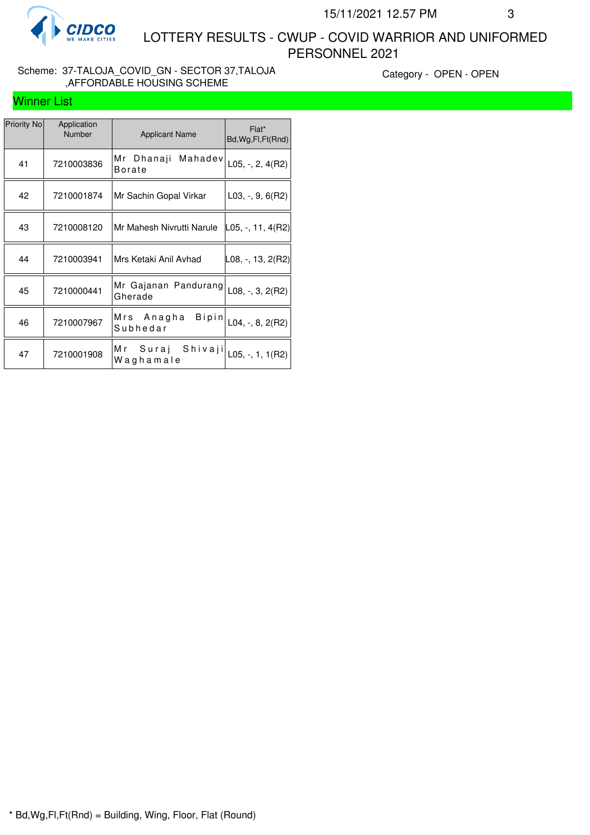

#### Scheme: 37-TALOJA\_COVID\_GN - SECTOR 37,TALOJA ,AFFORDABLE HOUSING SCHEME

Category - OPEN - OPEN

| <b>Winner List</b> |  |
|--------------------|--|
|--------------------|--|

| Priority No | Application<br><b>Number</b> | <b>Applicant Name</b>           | Flat*<br>Bd, Wg, Fl, Ft (Rnd) |
|-------------|------------------------------|---------------------------------|-------------------------------|
| 41          | 7210003836                   | Mr Dhanaji Mahadev<br>Borate    | $L05, -2, 4(R2)$              |
| 42          | 7210001874                   | Mr Sachin Gopal Virkar          | $L03, -, 9, 6(R2)$            |
| 43          | 7210008120                   | Mr Mahesh Nivrutti Narule       | $ L05, -, 11, 4(R2) $         |
| 44          | 7210003941                   | Mrs Ketaki Anil Avhad           | $ $ L08, -, 13, 2(R2)         |
| 45          | 7210000441                   | Mr Gajanan Pandurang<br>Gherade | L08, -, 3, $2(R2)$            |
| 46          | 7210007967                   | Bipin<br>Mrs Anagha<br>Subhedar | L04, -, 8, 2(R2)              |
| 47          | 7210001908                   | Mr Suraj Shivaji<br>Waghamale   | L05, -, 1, $1(R2)$            |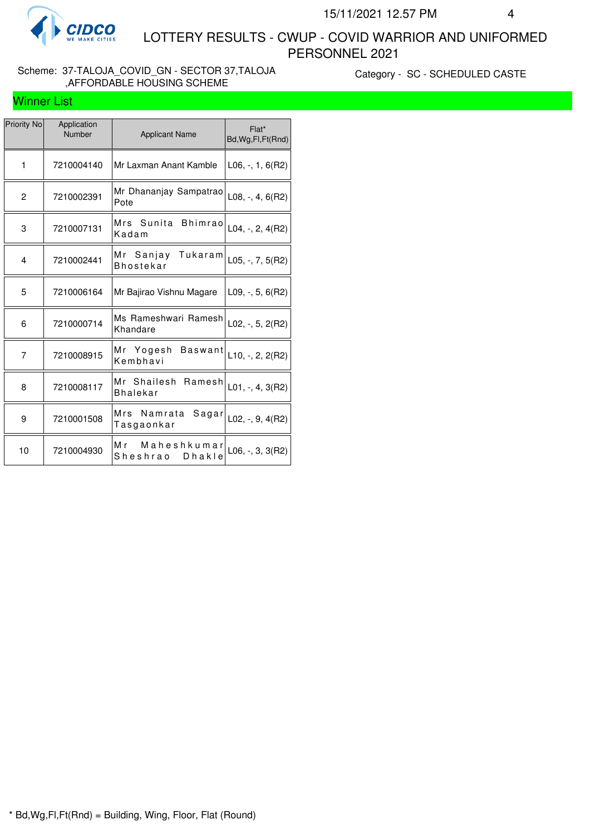

#### Scheme: 37-TALOJA\_COVID\_GN - SECTOR 37,TALOJA ,AFFORDABLE HOUSING SCHEME

Category - SC - SCHEDULED CASTE

## Winner List

| Priority No    | Application<br>Number | <b>Applicant Name</b>                    | Flat*<br>Bd, Wg, Fl, Ft (Rnd) |
|----------------|-----------------------|------------------------------------------|-------------------------------|
| 1              | 7210004140            | Mr Laxman Anant Kamble                   | $L06, -1, 6(R2)$              |
| $\overline{2}$ | 7210002391            | Mr Dhananjay Sampatrao<br>Pote           | $L08, -, 4, 6(R2)$            |
| 3              | 7210007131            | Mrs Sunita<br>Bhimrao<br>Kadam           | $L04, -2, 4(R2)$              |
| 4              | 7210002441            | Mr Sanjay Tukaram<br>Bhostekar           | $L05, -7, 5(R2)$              |
| 5              | 7210006164            | Mr Bajirao Vishnu Magare                 | $L09, -, 5, 6(R2)$            |
| 6              | 7210000714            | Ms Rameshwari Ramesh<br>Khandare         | $L02, -, 5, 2(R2)$            |
| 7              | 7210008915            | Mr Yogesh Baswant<br>Kembhavi            | $L10, -2, 2(R2)$              |
| 8              | 7210008117            | Mr Shailesh Ramesh<br>Bhalekar           | $L01, -, 4, 3(R2)$            |
| 9              | 7210001508            | Mrs<br>Namrata Sagar<br>Tasgaonkar       | $L02, -, 9, 4(R2)$            |
| 10             | 7210004930            | Maheshkumar<br>M r<br>Sheshrao<br>Dhakle | L06, -, 3, 3(R2)              |